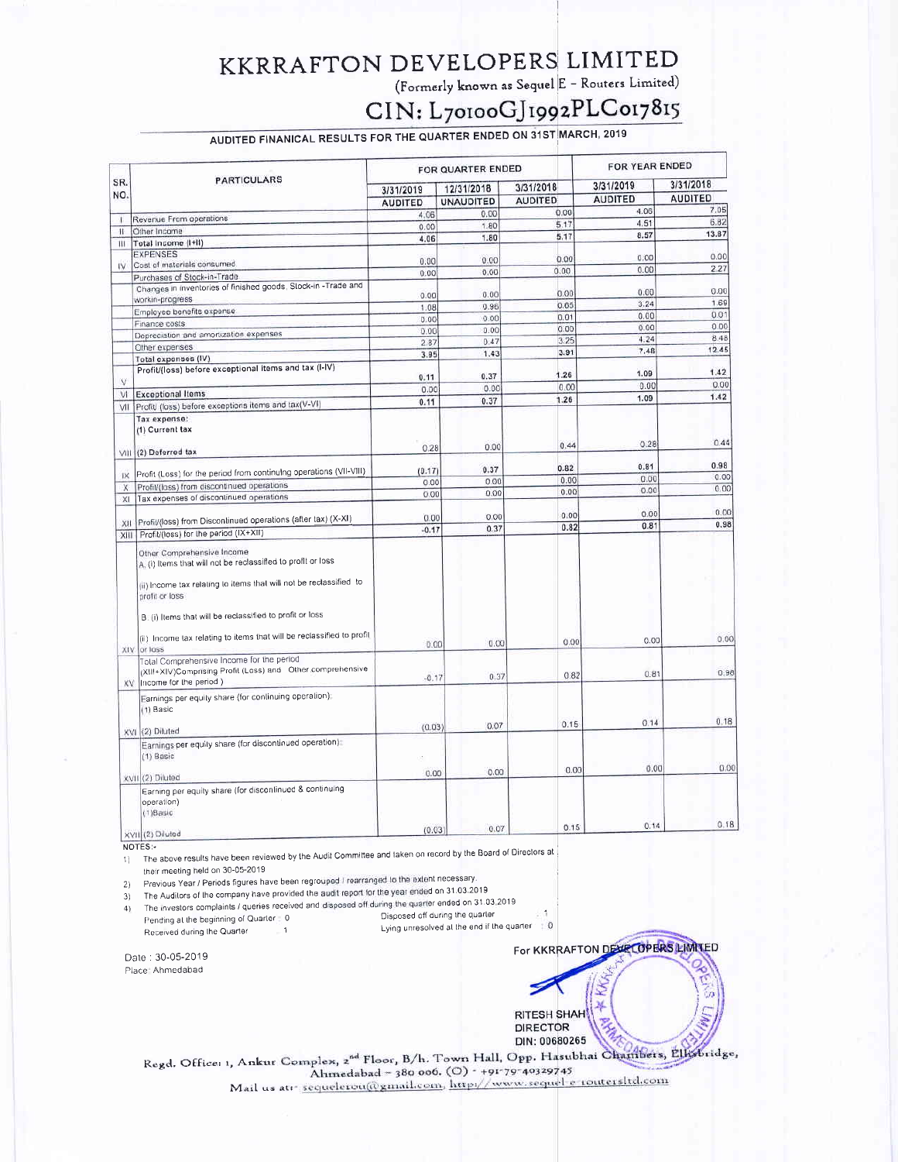# KKRRAFTON DEVELOPERS LIMITED

(Formerly known as Sequel E - Routers Limited)

## CIN: L70100GJ1992PLC017815

AUDITED FINANICAL RESULTS FOR THE QUARTER ENDED ON 31ST MARCH, 2019

|              | <b>PARTICULARS</b>                                                                                                                                                                 | FOR QUARTER ENDED       |                  |                | <b>FOR YEAR ENDED</b> |                |
|--------------|------------------------------------------------------------------------------------------------------------------------------------------------------------------------------------|-------------------------|------------------|----------------|-----------------------|----------------|
| SR.          |                                                                                                                                                                                    | 12/31/2018<br>3/31/2019 |                  | 3/31/2018      | 3/31/2019             | 3/31/2018      |
| NO.          |                                                                                                                                                                                    | <b>AUDITED</b>          | <b>UNAUDITED</b> | <b>AUDITED</b> | <b>AUDITED</b>        | <b>AUDITED</b> |
|              |                                                                                                                                                                                    | 4.06                    | 0.00             | 0.00           | 4.06                  | 7.05           |
| đ.           | Revenue From operations                                                                                                                                                            | 0.00                    | 1.80             | 5.17           | 4.51                  | 6.82           |
| $\mathbf{H}$ | Other Income                                                                                                                                                                       | 4.06                    | 1.80             | 5.17           | 8.57                  | 13.87          |
| Ш            | Total Income (I+II)                                                                                                                                                                |                         |                  |                |                       |                |
|              | <b>EXPENSES</b><br>Cost of materials consumed                                                                                                                                      | 0.00                    | 0.00             | 0.00           | 0.00                  | 0.00           |
| IV           | Purchases of Stock-in-Trade                                                                                                                                                        | 0.00                    | 0.00             | 0.00           | 0.00                  | 2.27           |
|              | Changes in inventories of finished goods, Slock-in -Trade and                                                                                                                      |                         |                  |                |                       |                |
|              | workin-progress                                                                                                                                                                    | 0.00                    | 0.00             | 0.00           | 0.00                  | 0.00<br>1.69   |
|              | Employee benefits expense                                                                                                                                                          | 1.08                    | 0.96             | 0.65           | 3.24                  | 0.01           |
|              | Finance costs                                                                                                                                                                      | 0.00                    | 0.00             | 0.01           | 0.00<br>0.00          | 0.00           |
|              | Depreciation and amortization expenses                                                                                                                                             | 0.00                    | 0.00             | 0.00           | 4.24                  | 8.48           |
|              | Other expenses                                                                                                                                                                     | 287                     | 0.47             | 3.25           | 7.48                  | 12.45          |
|              | Total expenses (IV)                                                                                                                                                                | 3.95                    | 1.43             | 3.91           |                       |                |
|              | Profit/(loss) before exceptional items and tax (I-IV)                                                                                                                              |                         | 0.37             | 1.26           | 1.09                  | 1.42           |
| v            |                                                                                                                                                                                    | 0.11                    | 0.00             | 0.00           | 0.00                  | 0.00           |
| VI           | <b>Exceptional Items</b>                                                                                                                                                           | 0.00                    | 0.37             | 1.26           | 1.09                  | 1.42           |
| VII          | Profit/ (loss) before exceptions items and tax(V-VI)                                                                                                                               | 0.11                    |                  |                |                       |                |
|              | Tax expense:                                                                                                                                                                       |                         |                  |                |                       |                |
|              | (1) Current tax                                                                                                                                                                    |                         |                  |                |                       |                |
|              |                                                                                                                                                                                    | 0.28                    | 0.00             | 0.44           | 0.28                  | 0.44           |
|              | VIII (2) Deferred tax                                                                                                                                                              |                         |                  |                |                       |                |
|              | Profit (Loss) for the period from continuing operations (VII-VIII)                                                                                                                 | (0.17)                  | 0.37             | 0.82           | 0.81                  | 0.98           |
| 1X           | Profit/(lass) from discontinued operations                                                                                                                                         | 0.00                    | 0.00             | 0.00           | 0.00                  | 0.00           |
| ×            | Tax expenses of discontinued operations                                                                                                                                            | 0.00                    | 0.00             | 0.00           | 0.00                  | 0.00           |
| XI           |                                                                                                                                                                                    |                         |                  |                |                       |                |
|              | Profit/(loss) from Discontinued operations (after tax) (X-XI)                                                                                                                      | 0.00                    | 0.00             | 0.00           | 0.00                  | 0.00           |
| XII<br>XIII  | Profit/(loss) for the period (IX+XII)                                                                                                                                              | $-0.17$                 | 0.37             | 0.82           | 0.81                  | 0.98           |
|              | Other Comprehensive Income<br>A. (i) Items that will not be reclassified to profit or loss<br>(ii) Income tax relating to items that will not be reclassified to<br>profit or loss |                         |                  |                |                       |                |
|              | B. (i) Items that will be reclassified to profit or loss<br>(ii) Income tax relating to items that will be reclassified to profit                                                  |                         |                  |                |                       |                |
|              | XIV or loss                                                                                                                                                                        | 0.00                    | 0.00             | 0.00           | 0.00                  | 0.00           |
|              | Total Comprehensive Income for the period                                                                                                                                          |                         |                  |                |                       |                |
|              | (XIII+XIV)Comprising Profit (Loss) and Other comprehensive                                                                                                                         |                         |                  | 0.82           | 0.81                  | 0.98           |
|              | XV   Income for the period )                                                                                                                                                       | $-0.17$                 | 0.37             |                |                       |                |
|              | Farnings per equity share (for continuing operation)<br>$(1)$ Basic                                                                                                                |                         |                  |                |                       |                |
|              | XVI (2) Diluted                                                                                                                                                                    | (0.03)                  | 0.07             | 0.15           | 0.14                  | 0, 18          |
|              | Earnings per equity share (for discontinued operation):<br>$(1)$ Basic                                                                                                             |                         |                  |                |                       |                |
|              | XVII (2) Diluted                                                                                                                                                                   | 0.00                    | 0.00             | 0.00           | 0.00                  | 0.00           |
|              | Earning per equity share (for discontinued & continuing<br>operation)<br>(1)Basic                                                                                                  |                         |                  |                |                       |                |
|              |                                                                                                                                                                                    | (0.03)                  | 0.07             | 0.15           | 0.14                  | 0.18           |

NOTES:

1) The above results have been reviewed by the Audit Committee and laken on record by the Board of Direclors at their meeting held on 30-05-2019

Previous Year / Periods figures have been regrouped / rearranged to the extent necessary.  $2)$ 

The Auditors of the company have provided the audit report for the year ended on 31.03.2019  $3)$ 

4) The investors complaints / queries received and disposed off during the quarter ended on 31.03.2019

Disposed off during the quarter Pending at the beginning of Quarter | 0 Lying unresolved at the end if the quarter 10 Received during the Quarter  $\overline{1}$ 

Date: 30-05-2019 Place<sup>1</sup> Ahmedabad

For KKRRAFTON DEVELOPERS LIMITED čη **RITESH SHAH DIRECTOR** DIN: 00680265

 $\overline{1}$ 

Regd. Office: 1, Ankur Complex, 2<sup>nd</sup> Floor, B/h. Town Hall, Opp. Hasubhai Chambers, Elksbridge, Ahmedabad - 380 006. (O) - +91-79-40329745 Mail us atr sequelerou@gmail.com, http://www.sequel e-routersItd.com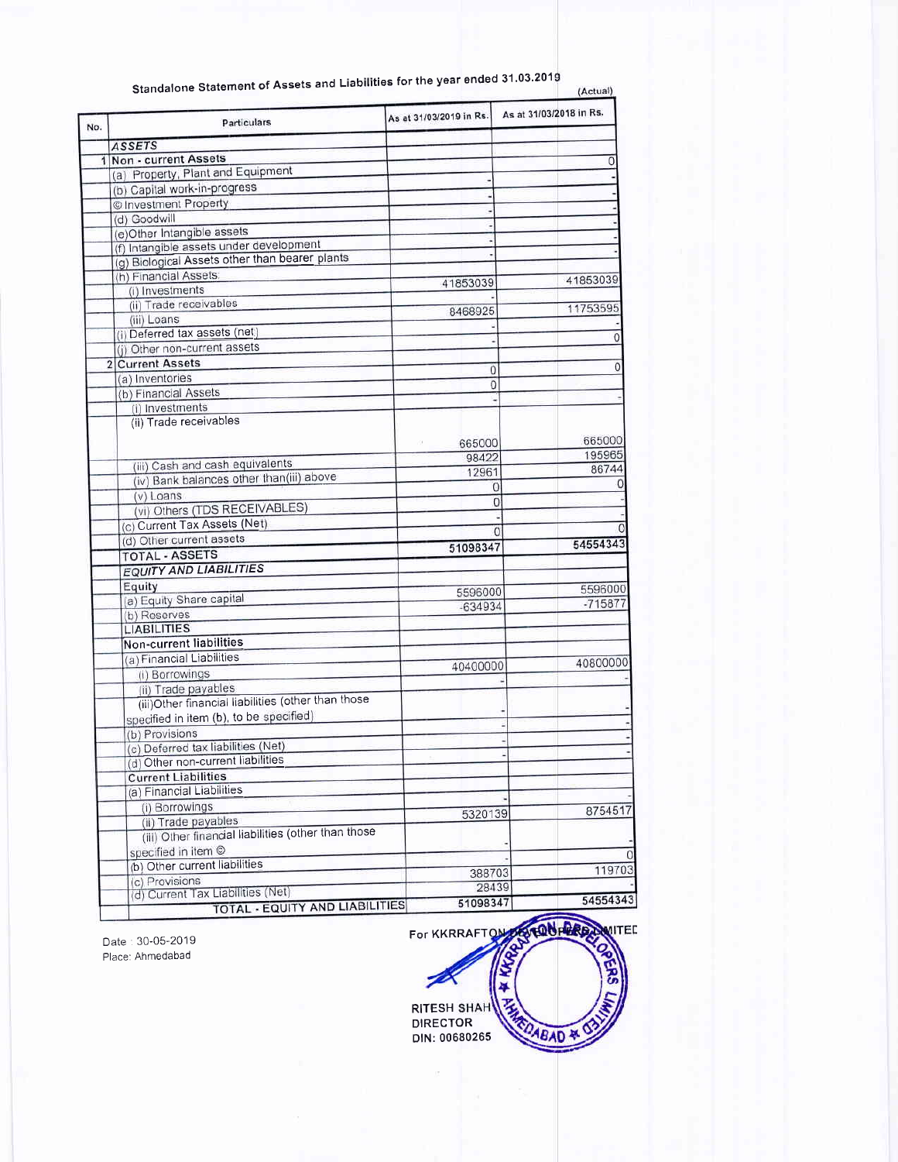|     | Standalone Statement of Assets and Liabilities for the year               |                         | (Actual)                |
|-----|---------------------------------------------------------------------------|-------------------------|-------------------------|
| No. | Particulars                                                               | As at 31/03/2019 in Rs. | As at 31/03/2018 in Rs. |
|     | <b>ASSETS</b>                                                             |                         |                         |
|     | 1 Non - current Assets                                                    |                         |                         |
|     | (a) Property, Plant and Equipment                                         |                         |                         |
|     | (b) Capital work-in-progress                                              |                         |                         |
|     | C Investment Property                                                     |                         |                         |
|     | (d) Goodwill                                                              |                         |                         |
|     | (e)Other Intangible assets                                                |                         |                         |
|     | (f) Intangible assets under development                                   |                         |                         |
|     | (g) Biological Assets other than bearer plants                            |                         |                         |
|     | (h) Financial Assets:                                                     |                         |                         |
|     | (i) Investments                                                           | 41853039                | 41853039                |
|     | (ii) Trade receivables                                                    |                         |                         |
|     |                                                                           | 8468925                 | 11753595                |
|     | (iii) Loans<br>(i) Deferred tax assets (net)                              |                         |                         |
|     |                                                                           |                         | $\circ$                 |
|     | (j) Other non-current assets                                              |                         |                         |
|     | 2 Current Assets                                                          | 0                       | 0                       |
|     | (a) Inventories                                                           | 0                       |                         |
|     | (b) Financial Assets                                                      |                         |                         |
|     | (i) Investments                                                           |                         |                         |
|     | (ii) Trade receivables                                                    |                         |                         |
|     |                                                                           | 665000                  | 665000                  |
|     |                                                                           | 98422                   | 195965                  |
|     | (iii) Cash and cash equivalents                                           | 12961                   | 86744                   |
|     | (iv) Bank balances other than(iii) above                                  | 0                       |                         |
|     | (v) Loans                                                                 | 0                       |                         |
|     | (vi) Others (TDS RECEIVABLES)                                             |                         |                         |
|     | (c) Current Tax Assets (Net)                                              |                         |                         |
|     | (d) Other current assets                                                  | $\Omega$                | 54554343                |
|     | <b>TOTAL - ASSETS</b>                                                     | 51098347                |                         |
|     | <b>EQUITY AND LIABILITIES</b>                                             |                         |                         |
|     | Equity                                                                    |                         |                         |
|     | (a) Equity Share capital                                                  | 5596000                 | 5596000                 |
|     | (b) Reserves                                                              | $-634934$               | $-715877$               |
|     | <b>LIABILITIES</b>                                                        |                         |                         |
|     | Non-current liabilities                                                   |                         |                         |
|     | (a) Financial Liabilities                                                 |                         |                         |
|     |                                                                           | 40400000                | 40800000                |
|     | (i) Borrowings                                                            |                         |                         |
|     | (ii) Trade payables<br>(iii)Other financial liabilities (other than those |                         |                         |
|     |                                                                           |                         |                         |
|     | specified in item (b), to be specified)                                   |                         |                         |
|     | (b) Provisions                                                            |                         |                         |
|     | (c) Deferred tax liabilities (Net)                                        |                         |                         |
|     | (d) Other non-current liabilities                                         |                         |                         |
|     | <b>Current Liabilities</b>                                                |                         |                         |
|     | (a) Financial Liabilities                                                 |                         |                         |
|     | (i) Borrowings                                                            | 5320139                 | 8754517                 |
|     | (ii) Trade payables                                                       |                         |                         |
|     | (iii) Other financial liabilities (other than those                       |                         |                         |
|     | specified in item $@$                                                     |                         |                         |
|     | (b) Other current liabilities                                             |                         | 119703                  |
|     | (c) Provisions                                                            | 388703                  |                         |
|     | (d) Current Tax Liabilities (Net)                                         | 28439                   |                         |
|     | <b>TOTAL - EQUITY AND LIABILITIES</b>                                     | 51098347                | 54554343                |

### Standalone Statement of Assets and Liabilities for the year ended 31.03.20 $^{\circ}$

Place: Ahmedabad

Date 30-05-2019 ·r• ?ij"'? .. For KKRRAFT ??.. ITEC Place: Ahmedabad /i''· '""?  $\frac{1}{2}$ RITESH SHAH $\|\mathbf{z}\|$ RITESH SHAH<br>DIRECTOR<br>DIN: 00680265 Date: 30-05-2019 **For KKRRAFTON** RITESH DIRECTOR DIN: 00680265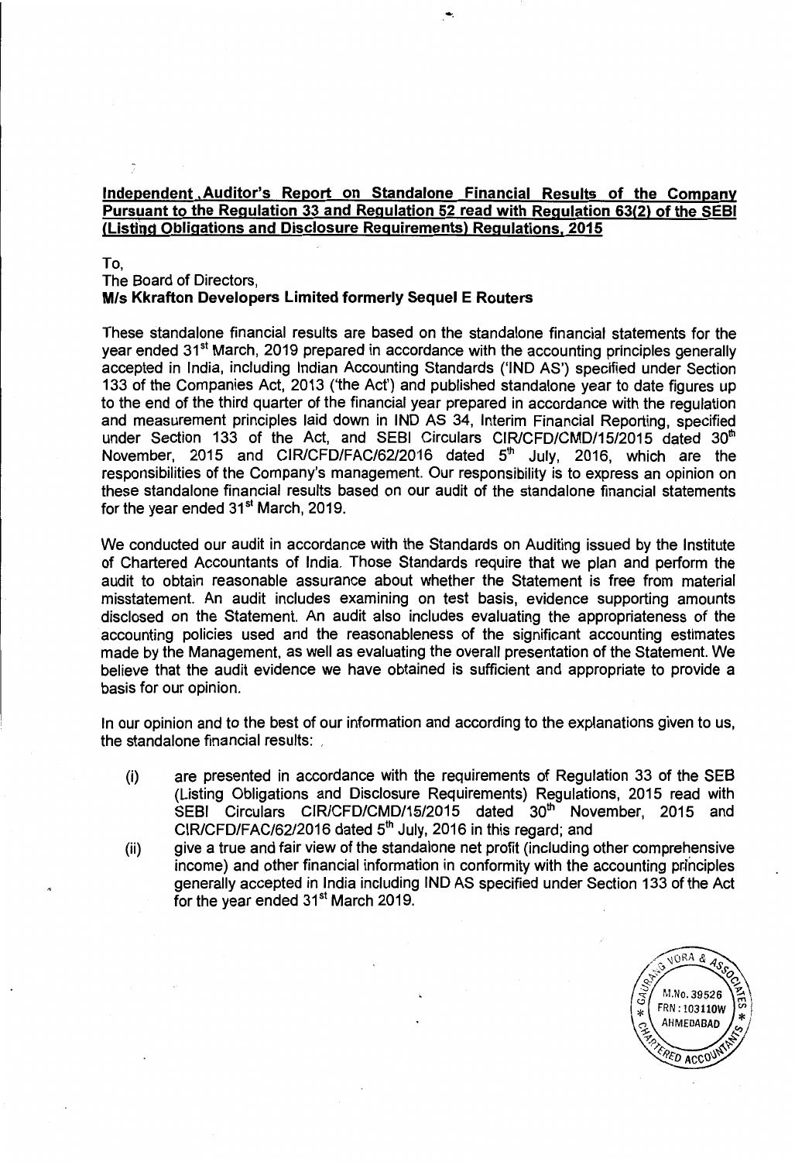#### Independent , Auditor's Report on Standalone Financial Results of the Company Pursuant to the Regulation 33 and Regulation 52 read with Regulation 63(2) of the SEBI (Listing Obligations and Disclosure Requirements) Regulations, 2015

To,

#### The Board of Directors,

#### M/s Kkrafton Developers Limited formerly Sequel E Routers

These standalone financial results are based on the standalone financial statements for the year ended 31<sup>st</sup> March, 2019 prepared in accordance with the accounting principles generally accepted in India, including Indian Accounting Standards ('IND AS') specified under Section 133 of the Companies Act, 2013 ('the Act') and published standalone year to date figures up to the end of the third quarter of the financial year prepared in accordance with the regulation and measurement principles laid down in IND AS 34, Interim Financial Reporting, specified under Section 133 of the Act, and SEBI Circulars CIR/CFD/CMD/15/2015 dated 30<sup>th</sup> November, 2015 and CIR/CFD/FAC/62/2016 dated  $5<sup>th</sup>$  July, 2016, which are the responsibilities of the Company's management. Our responsibility is to express an opinion on these standalone financial results based on our audit of the standalone financial statements for the year ended 31<sup>st</sup> March, 2019.

We conducted our audit in accordance with the Standards on Auditing issued by the Institute of Chartered Accountants of India. Those Standards require that we plan and perform the audit to obtain reasonable assurance about whether the Statement is free from material misstatement. An audit includes examining on test basis, evidence supporting amounts disclosed on the Statement. An audit also includes evaluating the appropriateness of the accounting policies used and the reasonableness of the significant accounting estimates made by the Management, as well as evaluating the overall presentation of the Statement. We believe that the audit evidence we have obtained is sufficient and appropriate to provide a basis for our opinion.

In our opinion and to the best of our information and according to the explanations given to us, the standalone financial results: ,

- (i) are presented in accordance with the requirements of Regulation 33 of the SEB (Listing Obligations and Disclosure Requirements) Regulations, 2015 read with SEBI Circulars CIR/CFD/CMD/15/2015 dated 30<sup>th</sup> November, 2015 and CIR/CFD/FAC/62/2016 dated  $5<sup>th</sup>$  July, 2016 in this regard; and
- (ii) give a true and fair view of the standalone net profit (including other comprehensive income) and other financial information in conformity with the accounting principles generally accepted in India including IND AS specified under Section 133 of the Act for the year ended 31<sup>st</sup> March 2019.

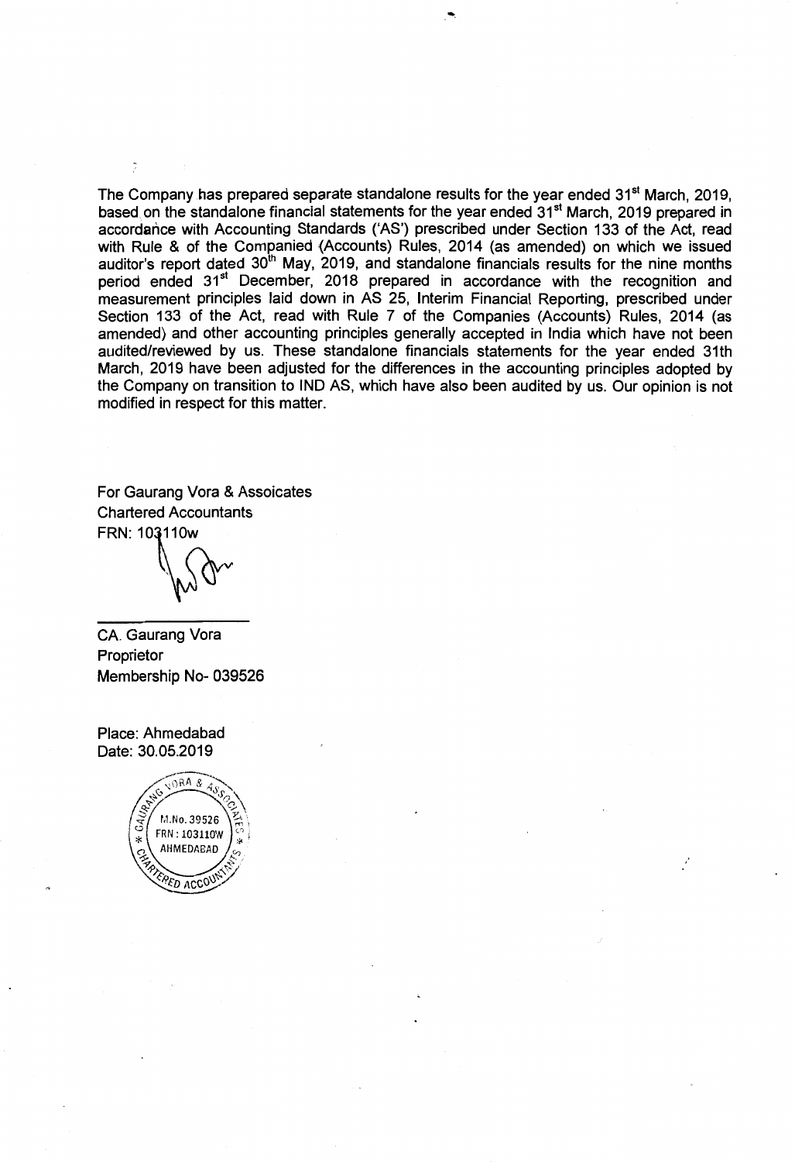The Company has prepared separate standalone results for the year ended 31<sup>st</sup> March, 2019, based on the standalone financial statements for the year ended 31<sup>st</sup> March, 2019 prepared in accordance with Accounting Standards ('AS') prescribed under Section 133 of the Act, read with Rule & of the Companied {Accounts) Rules, 2014 (as amended) on which we issued auditor's report dated  $30<sup>th</sup>$  May, 2019, and standalone financials results for the nine months period ended 31<sup>st</sup> December, 2018 prepared in accordance with the recognition and measurement principles laid down in AS 25, Interim Financial Reporting, prescribed under Section 133 of the Act, read with Rule 7 of the Companies (Accounts) Rules, 2014 (as amended) and other accounting principles generally accepted in India which have not been audited/reviewed by us. These standalone financials statements for the year ended 31th March, 2019 have been adjusted for the differences in the accounting principles adopted by the Company on transition to IND AS, which have also been audited by us. Our opinion is not modified in respect for this matter.

For Gaurang Vora & Assoicates Chartered Accountants FRN: 103110w

CA. Gaurang Vora Proprietor Membership No- 039526

Place: Ahmedabad Date: 30.05.2019

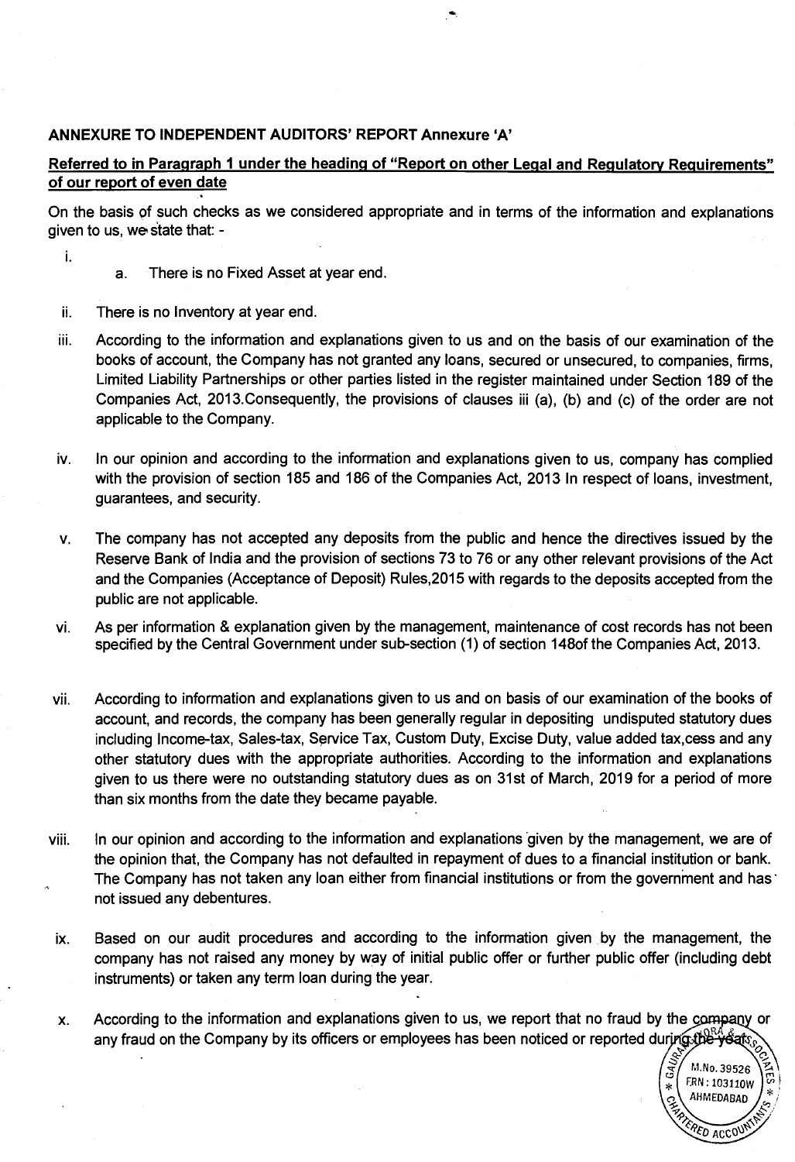#### ANNEXURE TO INDEPENDENT AUDITORS' REPORT Annexure 'A'

### Referred to in Paragraph 1 under the heading of "Report on other Legal and Regulatory Requirements" of our report of even date

On the basis of such checks as we considered appropriate and in terms of the information and explanations given to us, we state that: -

- i.
- a. There is no Fixed Asset at year end.
- ii. There is no Inventory at year end.
- iii. According to the information and explanations given to us and on the basis of our examination of the books of account, the Company has not granted any loans, secured or unsecured, to companies, firms, Limited Liability Partnerships or other parties listed in the register maintained under Section 189 of the Companies Act, 2013.Consequently, the provisions of clauses iii (a), (b) and (c) of the order are not applicable to the Company.
- iv. In our opinion and according to the information and explanations given to us, company has complied with the provision of section 185 and 186 of the Companies Act, 2013 In respect of loans, investment, guarantees, and security.
- v. The company has not accepted any deposits from the public and hence the directives issued by the Reserve Bank of India and the provision of sections 73 to 76 or any other relevant provisions of the Act and the Companies (Acceptance of Deposit) Rules,2015 with regards to the deposits accepted from the public are not applicable.
- vi. As per information & explanation given by the management, maintenance of cost records has not been specified by the Central Government under sub-section (1) of section 148of the Companies Act, 2013.
- vii. According to information and explanations given to us and on basis of our examination of the books of account, and records, the company has been generally regular in depositing undisputed statutory dues including Income-tax, Sales-tax, Service Tax, Custom Duty, Excise Duty, value added tax,cess and any other statutory dues with the appropriate authorities. According to the information and explanations given to us there were no outstanding statutory dues as on 31st of March, 2019 for a period of more than six months from the date they became payable.
- viii. In our opinion and according to the information and explanations given by the management, we are of the opinion that, the Company has not defaulted in repayment of dues to a financial institution or bank. The Company has not taken any loan either from financial institutions or from the government and has not issued any debentures.
- ix. Based on our audit procedures and according to the information given by the management, the company has not raised any money by way of initial public offer or further public offer (including debt instruments) or taken any term loan during the year.
- According to the information and explanations given to us, we report that no fraud by the company or X. any fraud on the Company by its officers or employees has been noticed or reported during the years

M.No. 39526 FRN: 103110W AHMEDABAD

ED ACCON